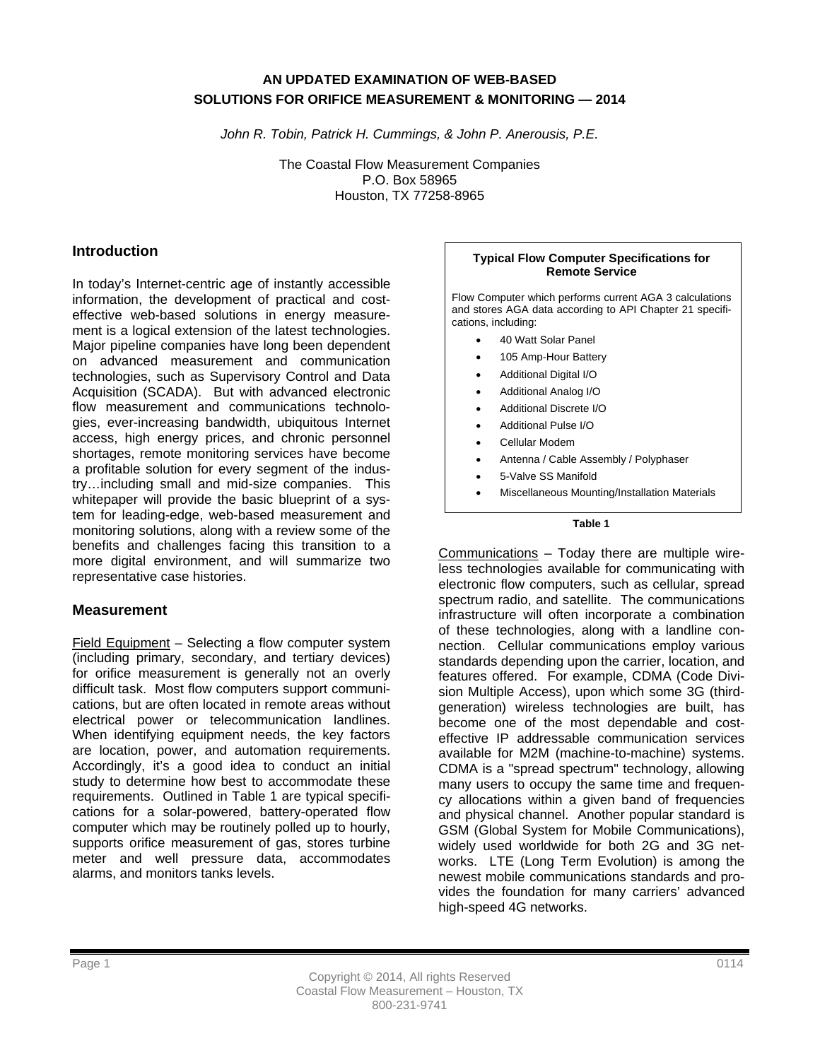#### **AN UPDATED EXAMINATION OF WEB-BASED SOLUTIONS FOR ORIFICE MEASUREMENT & MONITORING — 2014**

*John R. Tobin, Patrick H. Cummings, & John P. Anerousis, P.E.* 

The Coastal Flow Measurement Companies P.O. Box 58965 Houston, TX 77258-8965

#### **Introduction**

In today's Internet-centric age of instantly accessible information, the development of practical and costeffective web-based solutions in energy measurement is a logical extension of the latest technologies. Major pipeline companies have long been dependent on advanced measurement and communication technologies, such as Supervisory Control and Data Acquisition (SCADA). But with advanced electronic flow measurement and communications technologies, ever-increasing bandwidth, ubiquitous Internet access, high energy prices, and chronic personnel shortages, remote monitoring services have become a profitable solution for every segment of the industry…including small and mid-size companies. This whitepaper will provide the basic blueprint of a system for leading-edge, web-based measurement and monitoring solutions, along with a review some of the benefits and challenges facing this transition to a more digital environment, and will summarize two representative case histories.

#### **Measurement**

Field Equipment – Selecting a flow computer system (including primary, secondary, and tertiary devices) for orifice measurement is generally not an overly difficult task. Most flow computers support communications, but are often located in remote areas without electrical power or telecommunication landlines. When identifying equipment needs, the key factors are location, power, and automation requirements. Accordingly, it's a good idea to conduct an initial study to determine how best to accommodate these requirements. Outlined in Table 1 are typical specifications for a solar-powered, battery-operated flow computer which may be routinely polled up to hourly, supports orifice measurement of gas, stores turbine meter and well pressure data, accommodates alarms, and monitors tanks levels.

#### **Typical Flow Computer Specifications for Remote Service**

Flow Computer which performs current AGA 3 calculations and stores AGA data according to API Chapter 21 specifications, including:

- 40 Watt Solar Panel
- 105 Amp-Hour Battery
- Additional Digital I/O
- Additional Analog I/O
- Additional Discrete I/O
- Additional Pulse I/O
- Cellular Modem
- Antenna / Cable Assembly / Polyphaser
- 5-Valve SS Manifold
- Miscellaneous Mounting/Installation Materials

#### **Table 1**

Communications – Today there are multiple wireless technologies available for communicating with electronic flow computers, such as cellular, spread spectrum radio, and satellite. The communications infrastructure will often incorporate a combination of these technologies, along with a landline connection. Cellular communications employ various standards depending upon the carrier, location, and features offered. For example, CDMA (Code Division Multiple Access), upon which some 3G (thirdgeneration) wireless technologies are built, has become one of the most dependable and costeffective IP addressable communication services available for M2M (machine-to-machine) systems. CDMA is a "spread spectrum" technology, allowing many users to occupy the same time and frequency allocations within a given band of frequencies and physical channel. Another popular standard is GSM (Global System for Mobile Communications), widely used worldwide for both 2G and 3G networks. LTE (Long Term Evolution) is among the newest mobile communications standards and provides the foundation for many carriers' advanced high-speed 4G networks.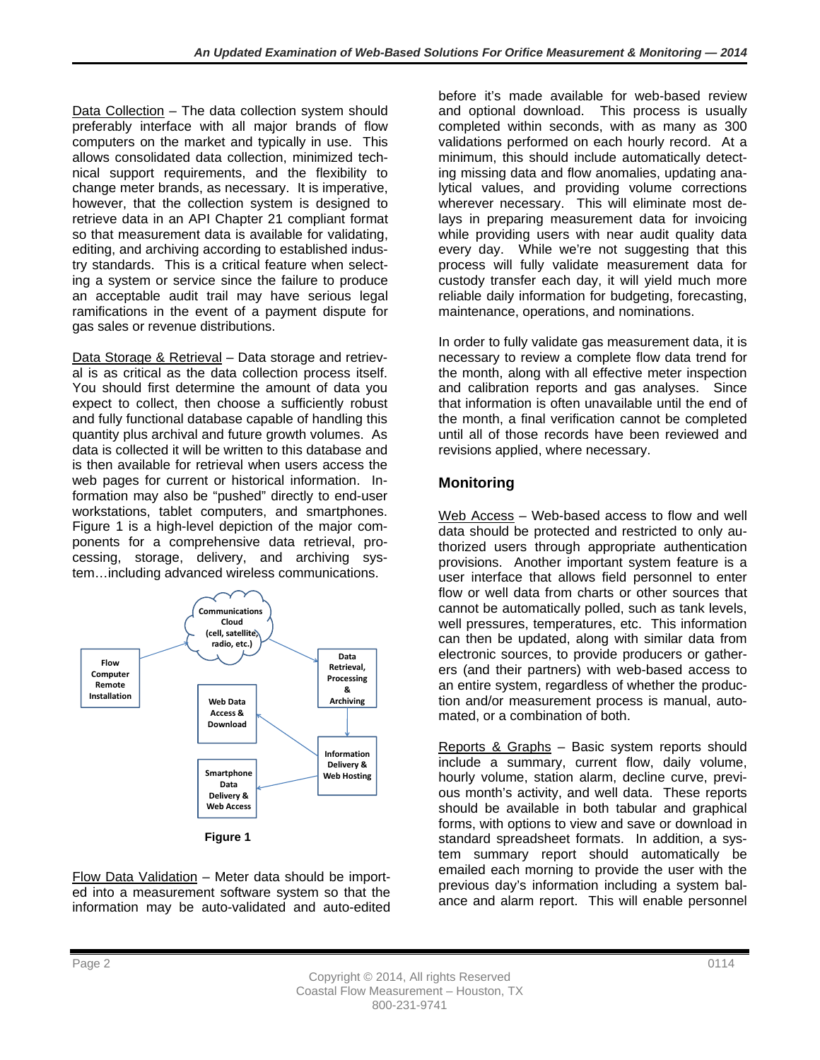Data Collection – The data collection system should preferably interface with all major brands of flow computers on the market and typically in use. This allows consolidated data collection, minimized technical support requirements, and the flexibility to change meter brands, as necessary. It is imperative, however, that the collection system is designed to retrieve data in an API Chapter 21 compliant format so that measurement data is available for validating, editing, and archiving according to established industry standards. This is a critical feature when selecting a system or service since the failure to produce an acceptable audit trail may have serious legal ramifications in the event of a payment dispute for gas sales or revenue distributions.

Data Storage & Retrieval – Data storage and retrieval is as critical as the data collection process itself. You should first determine the amount of data you expect to collect, then choose a sufficiently robust and fully functional database capable of handling this quantity plus archival and future growth volumes. As data is collected it will be written to this database and is then available for retrieval when users access the web pages for current or historical information. Information may also be "pushed" directly to end-user workstations, tablet computers, and smartphones. Figure 1 is a high-level depiction of the major components for a comprehensive data retrieval, processing, storage, delivery, and archiving system…including advanced wireless communications.



**Figure 1**

Flow Data Validation – Meter data should be imported into a measurement software system so that the information may be auto-validated and auto-edited before it's made available for web-based review and optional download. This process is usually completed within seconds, with as many as 300 validations performed on each hourly record. At a minimum, this should include automatically detecting missing data and flow anomalies, updating analytical values, and providing volume corrections wherever necessary. This will eliminate most delays in preparing measurement data for invoicing while providing users with near audit quality data every day. While we're not suggesting that this process will fully validate measurement data for custody transfer each day, it will yield much more reliable daily information for budgeting, forecasting, maintenance, operations, and nominations.

In order to fully validate gas measurement data, it is necessary to review a complete flow data trend for the month, along with all effective meter inspection and calibration reports and gas analyses. Since that information is often unavailable until the end of the month, a final verification cannot be completed until all of those records have been reviewed and revisions applied, where necessary.

# **Monitoring**

Web Access – Web-based access to flow and well data should be protected and restricted to only authorized users through appropriate authentication provisions. Another important system feature is a user interface that allows field personnel to enter flow or well data from charts or other sources that cannot be automatically polled, such as tank levels, well pressures, temperatures, etc. This information can then be updated, along with similar data from electronic sources, to provide producers or gatherers (and their partners) with web-based access to an entire system, regardless of whether the production and/or measurement process is manual, automated, or a combination of both.

Reports & Graphs – Basic system reports should include a summary, current flow, daily volume, hourly volume, station alarm, decline curve, previous month's activity, and well data. These reports should be available in both tabular and graphical forms, with options to view and save or download in standard spreadsheet formats. In addition, a system summary report should automatically be emailed each morning to provide the user with the previous day's information including a system balance and alarm report. This will enable personnel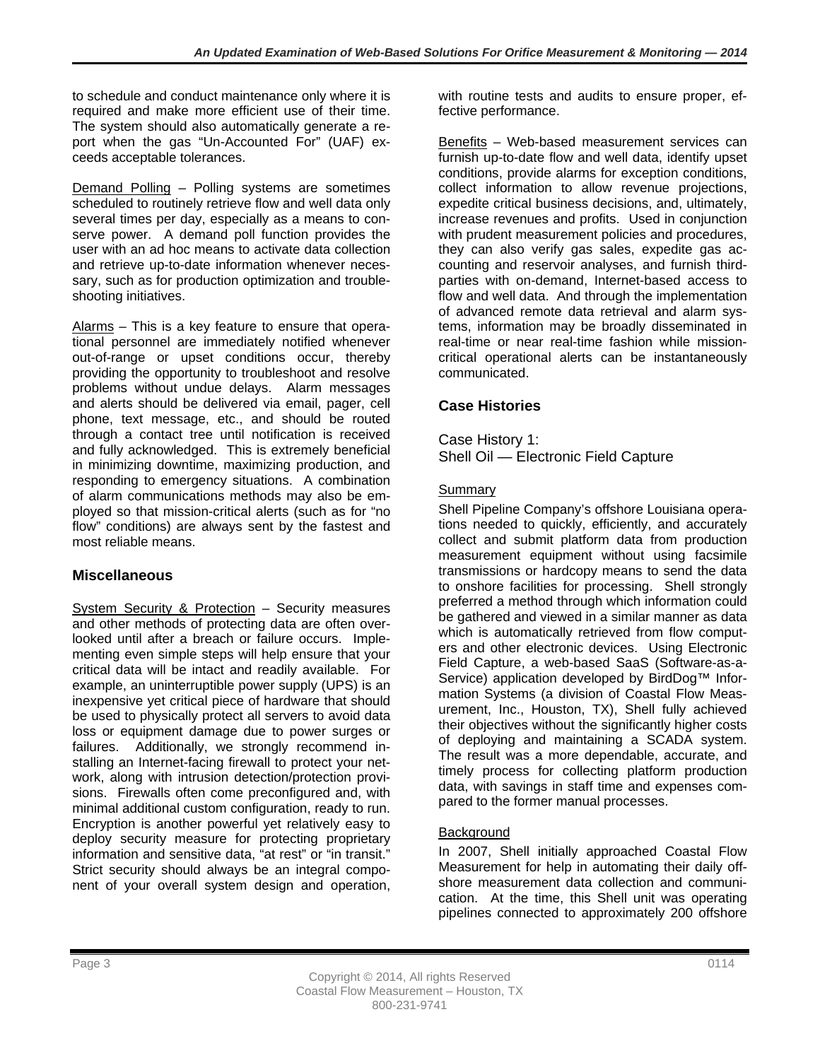to schedule and conduct maintenance only where it is required and make more efficient use of their time. The system should also automatically generate a report when the gas "Un-Accounted For" (UAF) exceeds acceptable tolerances.

Demand Polling – Polling systems are sometimes scheduled to routinely retrieve flow and well data only several times per day, especially as a means to conserve power. A demand poll function provides the user with an ad hoc means to activate data collection and retrieve up-to-date information whenever necessary, such as for production optimization and troubleshooting initiatives.

Alarms – This is a key feature to ensure that operational personnel are immediately notified whenever out-of-range or upset conditions occur, thereby providing the opportunity to troubleshoot and resolve problems without undue delays. Alarm messages and alerts should be delivered via email, pager, cell phone, text message, etc., and should be routed through a contact tree until notification is received and fully acknowledged. This is extremely beneficial in minimizing downtime, maximizing production, and responding to emergency situations. A combination of alarm communications methods may also be employed so that mission-critical alerts (such as for "no flow" conditions) are always sent by the fastest and most reliable means.

# **Miscellaneous**

System Security & Protection - Security measures and other methods of protecting data are often overlooked until after a breach or failure occurs. Implementing even simple steps will help ensure that your critical data will be intact and readily available. For example, an uninterruptible power supply (UPS) is an inexpensive yet critical piece of hardware that should be used to physically protect all servers to avoid data loss or equipment damage due to power surges or failures. Additionally, we strongly recommend installing an Internet-facing firewall to protect your network, along with intrusion detection/protection provisions. Firewalls often come preconfigured and, with minimal additional custom configuration, ready to run. Encryption is another powerful yet relatively easy to deploy security measure for protecting proprietary information and sensitive data, "at rest" or "in transit." Strict security should always be an integral component of your overall system design and operation,

with routine tests and audits to ensure proper, effective performance.

Benefits – Web-based measurement services can furnish up-to-date flow and well data, identify upset conditions, provide alarms for exception conditions, collect information to allow revenue projections, expedite critical business decisions, and, ultimately, increase revenues and profits. Used in conjunction with prudent measurement policies and procedures, they can also verify gas sales, expedite gas accounting and reservoir analyses, and furnish thirdparties with on-demand, Internet-based access to flow and well data. And through the implementation of advanced remote data retrieval and alarm systems, information may be broadly disseminated in real-time or near real-time fashion while missioncritical operational alerts can be instantaneously communicated.

# **Case Histories**

#### Case History 1: Shell Oil — Electronic Field Capture

## Summary

Shell Pipeline Company's offshore Louisiana operations needed to quickly, efficiently, and accurately collect and submit platform data from production measurement equipment without using facsimile transmissions or hardcopy means to send the data to onshore facilities for processing. Shell strongly preferred a method through which information could be gathered and viewed in a similar manner as data which is automatically retrieved from flow computers and other electronic devices. Using Electronic Field Capture, a web-based SaaS (Software-as-a-Service) application developed by BirdDog™ Information Systems (a division of Coastal Flow Measurement, Inc., Houston, TX), Shell fully achieved their objectives without the significantly higher costs of deploying and maintaining a SCADA system. The result was a more dependable, accurate, and timely process for collecting platform production data, with savings in staff time and expenses compared to the former manual processes.

# **Background**

In 2007, Shell initially approached Coastal Flow Measurement for help in automating their daily offshore measurement data collection and communication. At the time, this Shell unit was operating pipelines connected to approximately 200 offshore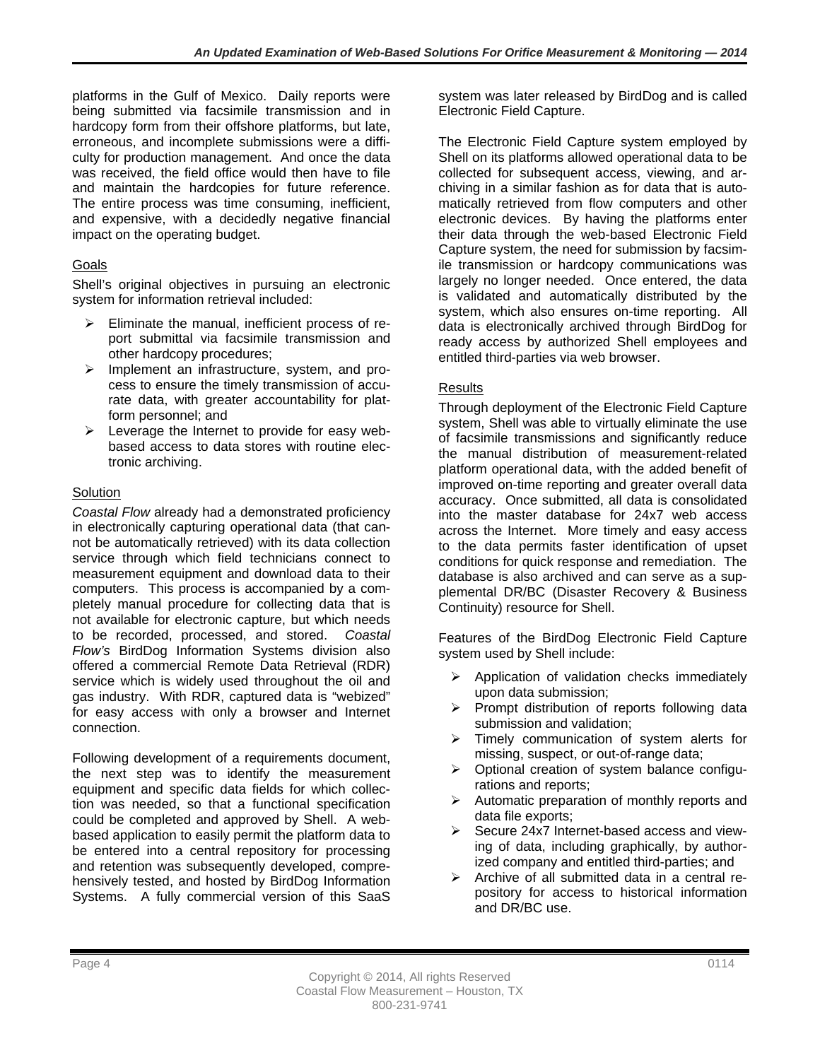platforms in the Gulf of Mexico. Daily reports were being submitted via facsimile transmission and in hardcopy form from their offshore platforms, but late, erroneous, and incomplete submissions were a difficulty for production management. And once the data was received, the field office would then have to file and maintain the hardcopies for future reference. The entire process was time consuming, inefficient, and expensive, with a decidedly negative financial impact on the operating budget.

## Goals

Shell's original objectives in pursuing an electronic system for information retrieval included:

- $\triangleright$  Eliminate the manual, inefficient process of report submittal via facsimile transmission and other hardcopy procedures;
- $\triangleright$  Implement an infrastructure, system, and process to ensure the timely transmission of accurate data, with greater accountability for platform personnel; and
- $\triangleright$  Leverage the Internet to provide for easy webbased access to data stores with routine electronic archiving.

## **Solution**

*Coastal Flow* already had a demonstrated proficiency in electronically capturing operational data (that cannot be automatically retrieved) with its data collection service through which field technicians connect to measurement equipment and download data to their computers. This process is accompanied by a completely manual procedure for collecting data that is not available for electronic capture, but which needs to be recorded, processed, and stored. *Coastal Flow's* BirdDog Information Systems division also offered a commercial Remote Data Retrieval (RDR) service which is widely used throughout the oil and gas industry. With RDR, captured data is "webized" for easy access with only a browser and Internet connection.

Following development of a requirements document, the next step was to identify the measurement equipment and specific data fields for which collection was needed, so that a functional specification could be completed and approved by Shell. A webbased application to easily permit the platform data to be entered into a central repository for processing and retention was subsequently developed, comprehensively tested, and hosted by BirdDog Information Systems. A fully commercial version of this SaaS

system was later released by BirdDog and is called Electronic Field Capture.

The Electronic Field Capture system employed by Shell on its platforms allowed operational data to be collected for subsequent access, viewing, and archiving in a similar fashion as for data that is automatically retrieved from flow computers and other electronic devices. By having the platforms enter their data through the web-based Electronic Field Capture system, the need for submission by facsimile transmission or hardcopy communications was largely no longer needed. Once entered, the data is validated and automatically distributed by the system, which also ensures on-time reporting. All data is electronically archived through BirdDog for ready access by authorized Shell employees and entitled third-parties via web browser.

## Results

Through deployment of the Electronic Field Capture system, Shell was able to virtually eliminate the use of facsimile transmissions and significantly reduce the manual distribution of measurement-related platform operational data, with the added benefit of improved on-time reporting and greater overall data accuracy. Once submitted, all data is consolidated into the master database for 24x7 web access across the Internet. More timely and easy access to the data permits faster identification of upset conditions for quick response and remediation. The database is also archived and can serve as a supplemental DR/BC (Disaster Recovery & Business Continuity) resource for Shell.

Features of the BirdDog Electronic Field Capture system used by Shell include:

- $\triangleright$  Application of validation checks immediately upon data submission;
- $\triangleright$  Prompt distribution of reports following data submission and validation;
- $\triangleright$  Timely communication of system alerts for missing, suspect, or out-of-range data;
- $\triangleright$  Optional creation of system balance configurations and reports;
- $\triangleright$  Automatic preparation of monthly reports and data file exports;
- $\triangleright$  Secure 24x7 Internet-based access and viewing of data, including graphically, by authorized company and entitled third-parties; and
- $\triangleright$  Archive of all submitted data in a central repository for access to historical information and DR/BC use.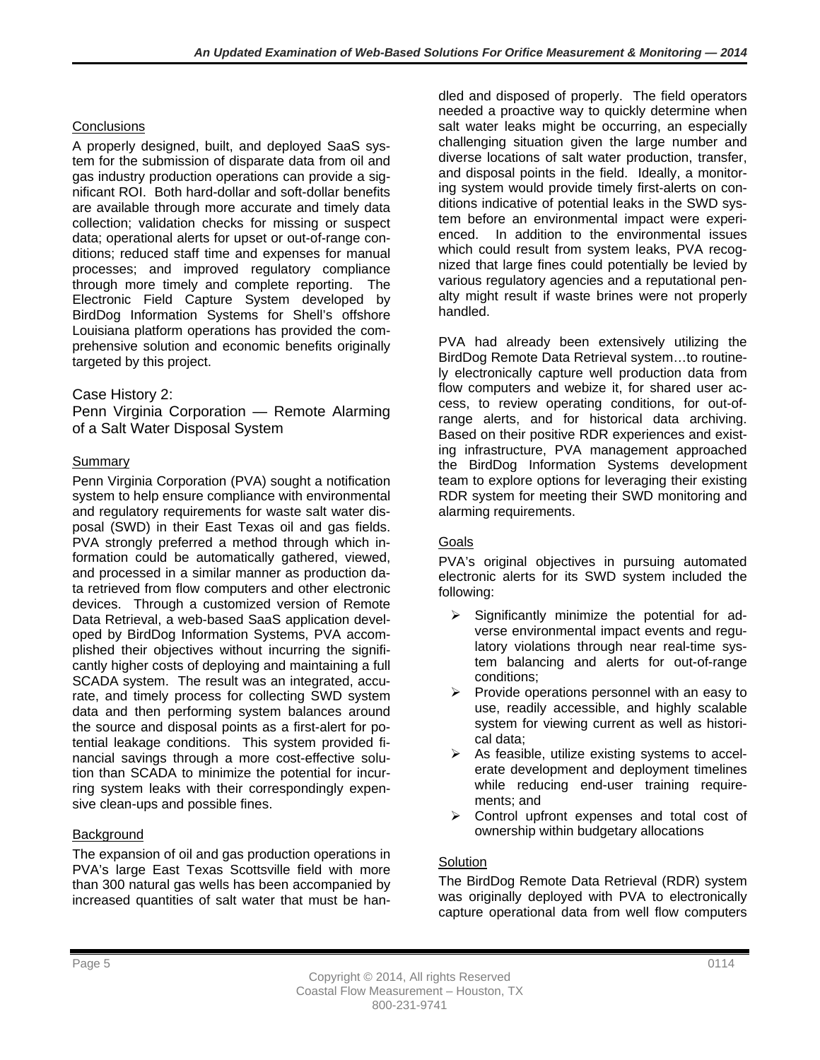#### **Conclusions**

A properly designed, built, and deployed SaaS system for the submission of disparate data from oil and gas industry production operations can provide a significant ROI. Both hard-dollar and soft-dollar benefits are available through more accurate and timely data collection; validation checks for missing or suspect data; operational alerts for upset or out-of-range conditions; reduced staff time and expenses for manual processes; and improved regulatory compliance through more timely and complete reporting. The Electronic Field Capture System developed by BirdDog Information Systems for Shell's offshore Louisiana platform operations has provided the comprehensive solution and economic benefits originally targeted by this project.

### Case History 2:

Penn Virginia Corporation — Remote Alarming of a Salt Water Disposal System

## Summary

Penn Virginia Corporation (PVA) sought a notification system to help ensure compliance with environmental and regulatory requirements for waste salt water disposal (SWD) in their East Texas oil and gas fields. PVA strongly preferred a method through which information could be automatically gathered, viewed, and processed in a similar manner as production data retrieved from flow computers and other electronic devices. Through a customized version of Remote Data Retrieval, a web-based SaaS application developed by BirdDog Information Systems, PVA accomplished their objectives without incurring the significantly higher costs of deploying and maintaining a full SCADA system. The result was an integrated, accurate, and timely process for collecting SWD system data and then performing system balances around the source and disposal points as a first-alert for potential leakage conditions. This system provided financial savings through a more cost-effective solution than SCADA to minimize the potential for incurring system leaks with their correspondingly expensive clean-ups and possible fines.

### **Background**

The expansion of oil and gas production operations in PVA's large East Texas Scottsville field with more than 300 natural gas wells has been accompanied by increased quantities of salt water that must be handled and disposed of properly. The field operators needed a proactive way to quickly determine when salt water leaks might be occurring, an especially challenging situation given the large number and diverse locations of salt water production, transfer, and disposal points in the field. Ideally, a monitoring system would provide timely first-alerts on conditions indicative of potential leaks in the SWD system before an environmental impact were experienced. In addition to the environmental issues which could result from system leaks, PVA recognized that large fines could potentially be levied by various regulatory agencies and a reputational penalty might result if waste brines were not properly handled.

PVA had already been extensively utilizing the BirdDog Remote Data Retrieval system…to routinely electronically capture well production data from flow computers and webize it, for shared user access, to review operating conditions, for out-ofrange alerts, and for historical data archiving. Based on their positive RDR experiences and existing infrastructure, PVA management approached the BirdDog Information Systems development team to explore options for leveraging their existing RDR system for meeting their SWD monitoring and alarming requirements.

### Goals

PVA's original objectives in pursuing automated electronic alerts for its SWD system included the following:

- $\triangleright$  Significantly minimize the potential for adverse environmental impact events and regulatory violations through near real-time system balancing and alerts for out-of-range conditions;
- $\triangleright$  Provide operations personnel with an easy to use, readily accessible, and highly scalable system for viewing current as well as historical data;
- $\triangleright$  As feasible, utilize existing systems to accelerate development and deployment timelines while reducing end-user training requirements; and
- ▶ Control upfront expenses and total cost of ownership within budgetary allocations

# **Solution**

The BirdDog Remote Data Retrieval (RDR) system was originally deployed with PVA to electronically capture operational data from well flow computers